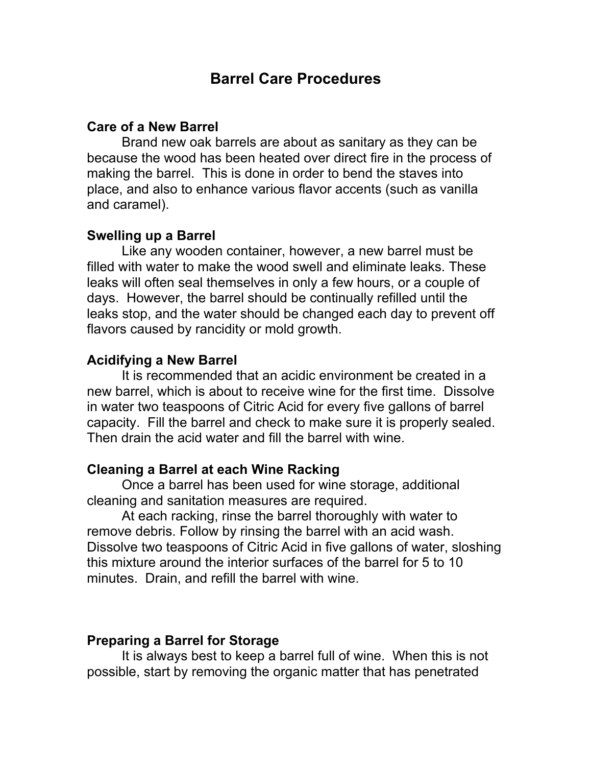# **Barrel Care Procedures**

### **Care of a New Barrel**

Brand new oak barrels are about as sanitary as they can be because the wood has been heated over direct fire in the process of making the barrel. This is done in order to bend the staves into place, and also to enhance various flavor accents (such as vanilla and caramel).

### **Swelling up a Barrel**

Like any wooden container, however, a new barrel must be filled with water to make the wood swell and eliminate leaks. These leaks will often seal themselves in only a few hours, or a couple of days. However, the barrel should be continually refilled until the leaks stop, and the water should be changed each day to prevent off flavors caused by rancidity or mold growth.

### **Acidifying a New Barrel**

It is recommended that an acidic environment be created in a new barrel, which is about to receive wine for the first time. Dissolve in water two teaspoons of Citric Acid for every five gallons of barrel capacity. Fill the barrel and check to make sure it is properly sealed. Then drain the acid water and fill the barrel with wine.

### **Cleaning a Barrel at each Wine Racking**

Once a barrel has been used for wine storage, additional cleaning and sanitation measures are required.

At each racking, rinse the barrel thoroughly with water to remove debris. Follow by rinsing the barrel with an acid wash. Dissolve two teaspoons of Citric Acid in five gallons of water, sloshing this mixture around the interior surfaces of the barrel for 5 to 10 minutes. Drain, and refill the barrel with wine.

#### **Preparing a Barrel for Storage**

It is always best to keep a barrel full of wine. When this is not possible, start by removing the organic matter that has penetrated